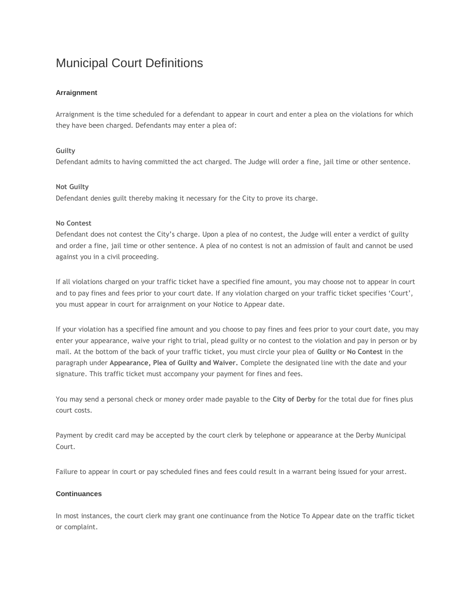# Municipal Court Definitions

## **Arraignment**

Arraignment is the time scheduled for a defendant to appear in court and enter a plea on the violations for which they have been charged. Defendants may enter a plea of:

## **Guilty**

Defendant admits to having committed the act charged. The Judge will order a fine, jail time or other sentence.

## **Not Guilty**

Defendant denies guilt thereby making it necessary for the City to prove its charge.

#### **No Contest**

Defendant does not contest the City's charge. Upon a plea of no contest, the Judge will enter a verdict of guilty and order a fine, jail time or other sentence. A plea of no contest is not an admission of fault and cannot be used against you in a civil proceeding.

If all violations charged on your traffic ticket have a specified fine amount, you may choose not to appear in court and to pay fines and fees prior to your court date. If any violation charged on your traffic ticket specifies 'Court', you must appear in court for arraignment on your Notice to Appear date.

If your violation has a specified fine amount and you choose to pay fines and fees prior to your court date, you may enter your appearance, waive your right to trial, plead guilty or no contest to the violation and pay in person or by mail. At the bottom of the back of your traffic ticket, you must circle your plea of **Guilty** or **No Contest** in the paragraph under **Appearance, Plea of Guilty and Waiver.** Complete the designated line with the date and your signature. This traffic ticket must accompany your payment for fines and fees.

You may send a personal check or money order made payable to the **City of Derby** for the total due for fines plus court costs.

Payment by credit card may be accepted by the court clerk by telephone or appearance at the Derby Municipal Court.

Failure to appear in court or pay scheduled fines and fees could result in a warrant being issued for your arrest.

## **Continuances**

In most instances, the court clerk may grant one continuance from the Notice To Appear date on the traffic ticket or complaint.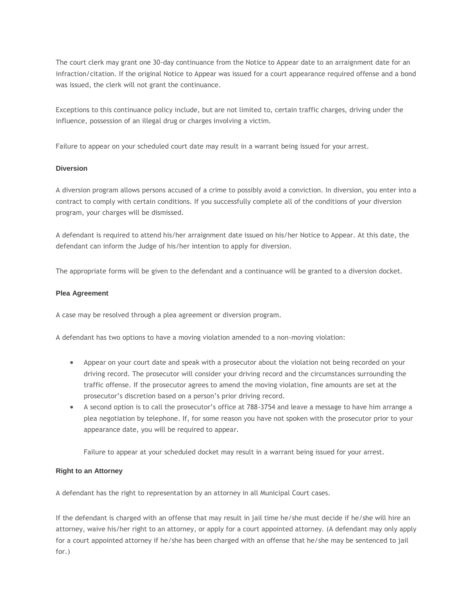The court clerk may grant one 30-day continuance from the Notice to Appear date to an arraignment date for an infraction/citation. If the original Notice to Appear was issued for a court appearance required offense and a bond was issued, the clerk will not grant the continuance.

Exceptions to this continuance policy include, but are not limited to, certain traffic charges, driving under the influence, possession of an illegal drug or charges involving a victim.

Failure to appear on your scheduled court date may result in a warrant being issued for your arrest.

#### **Diversion**

A diversion program allows persons accused of a crime to possibly avoid a conviction. In diversion, you enter into a contract to comply with certain conditions. If you successfully complete all of the conditions of your diversion program, your charges will be dismissed.

A defendant is required to attend his/her arraignment date issued on his/her Notice to Appear. At this date, the defendant can inform the Judge of his/her intention to apply for diversion.

The appropriate forms will be given to the defendant and a continuance will be granted to a diversion docket.

#### **Plea Agreement**

A case may be resolved through a plea agreement or diversion program.

A defendant has two options to have a moving violation amended to a non-moving violation:

- Appear on your court date and speak with a prosecutor about the violation not being recorded on your driving record. The prosecutor will consider your driving record and the circumstances surrounding the traffic offense. If the prosecutor agrees to amend the moving violation, fine amounts are set at the prosecutor's discretion based on a person's prior driving record.
- A second option is to call the prosecutor's office at 788-3754 and leave a message to have him arrange a plea negotiation by telephone. If, for some reason you have not spoken with the prosecutor prior to your appearance date, you will be required to appear.

Failure to appear at your scheduled docket may result in a warrant being issued for your arrest.

#### **Right to an Attorney**

A defendant has the right to representation by an attorney in all Municipal Court cases.

If the defendant is charged with an offense that may result in jail time he/she must decide if he/she will hire an attorney, waive his/her right to an attorney, or apply for a court appointed attorney. (A defendant may only apply for a court appointed attorney if he/she has been charged with an offense that he/she may be sentenced to jail for.)